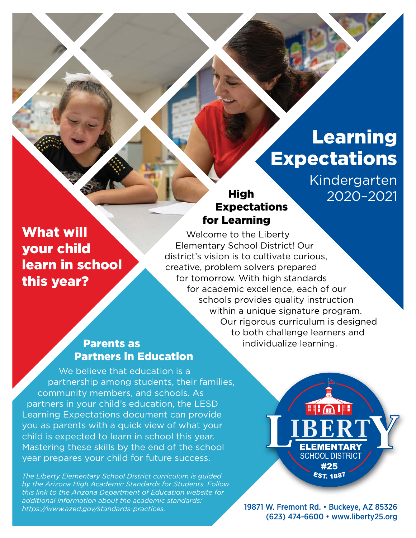# Learning **Expectations**

Kindergarten 2020–2021

## What will your child learn in school this year?

Welcome to the Liberty Elementary School District! Our district's vision is to cultivate curious, creative, problem solvers prepared for tomorrow. With high standards for academic excellence, each of our schools provides quality instruction within a unique signature program. Our rigorous curriculum is designed to both challenge learners and individualize learning.

**High** 

for Learning

Expectations

### Parents as Partners in Education

We believe that education is a partnership among students, their families, community members, and schools. As partners in your child's education, the LESD Learning Expectations document can provide you as parents with a quick view of what your child is expected to learn in school this year. Mastering these skills by the end of the school year prepares your child for future success.

*The Liberty Elementary School District curriculum is guided by the Arizona High Academic Standards for Students. Follow this link to the Arizona Department of Education website for additional information about the academic standards: [https://www.azed.gov/standards-practices.](https://www.azed.gov/standards-practices)*

**THE H ELEMENTARY SCHOOL DISTRICT** #25 **EST. 1887** 

19871 W. Fremont Rd. • Buckeye, AZ 85326 (623) 474-6600 • [www.liberty25.org](http://www.liberty25.org)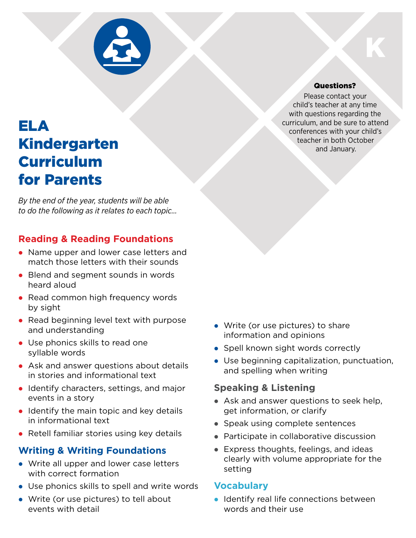

## ELA Kindergarten Curriculum for Parents

*By the end of the year, students will be able to do the following as it relates to each topic…*

## **Reading & Reading Foundations**

- Name upper and lower case letters and match those letters with their sounds
- Blend and segment sounds in words heard aloud
- Read common high frequency words by sight
- Read beginning level text with purpose and understanding
- Use phonics skills to read one syllable words
- Ask and answer questions about details in stories and informational text
- Identify characters, settings, and major events in a story
- $\bullet$  Identify the main topic and key details in informational text
- Retell familiar stories using key details

## **Writing & Writing Foundations**

- Write all upper and lower case letters with correct formation
- Use phonics skills to spell and write words
- Write (or use pictures) to tell about events with detail
- $\bullet$  Write (or use pictures) to share information and opinions
- Spell known sight words correctly
- Use beginning capitalization, punctuation, and spelling when writing

#### **Speaking & Listening**

- $\bullet$  Ask and answer questions to seek help, get information, or clarify
- Speak using complete sentences
- Participate in collaborative discussion
- Express thoughts, feelings, and ideas clearly with volume appropriate for the setting

#### **Vocabulary**

**• Identify real life connections between** words and their use

#### Questions?

K

Please contact your child's teacher at any time with questions regarding the curriculum, and be sure to attend conferences with your child's teacher in both October and January.